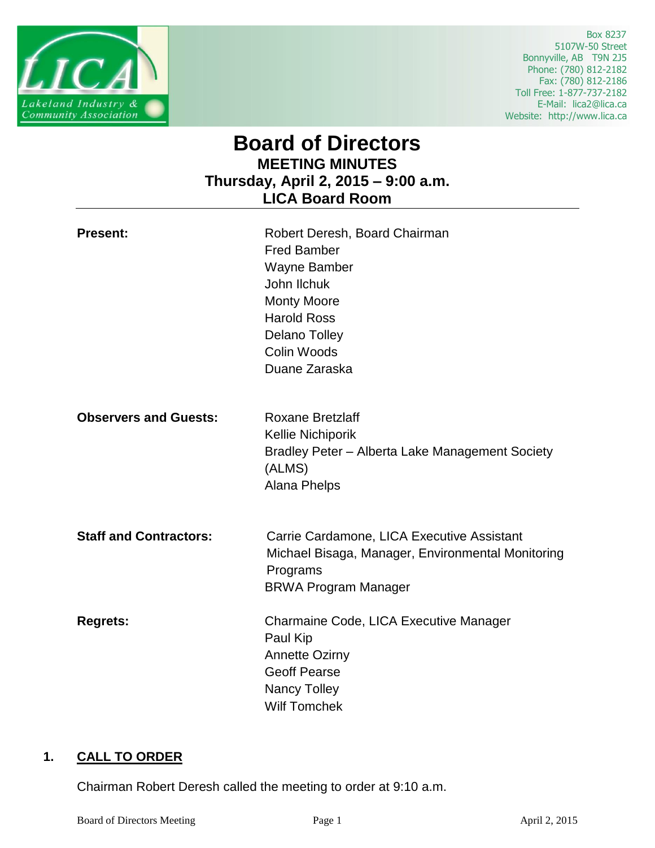

 Box 8237 5107W-50 Street Bonnyville, AB T9N 2J5 Phone: (780) 812-2182 Fax: (780) 812-2186 Toll Free: 1-877-737-2182 E-Mail: lica2@lica.ca Website: http://www.lica.ca

# **Board of Directors MEETING MINUTES Thursday, April 2, 2015 – 9:00 a.m. LICA Board Room**

| <b>Present:</b>               | Robert Deresh, Board Chairman<br><b>Fred Bamber</b><br>Wayne Bamber<br>John Ilchuk<br><b>Monty Moore</b><br><b>Harold Ross</b><br><b>Delano Tolley</b><br>Colin Woods<br>Duane Zaraska |
|-------------------------------|----------------------------------------------------------------------------------------------------------------------------------------------------------------------------------------|
| <b>Observers and Guests:</b>  | <b>Roxane Bretzlaff</b><br>Kellie Nichiporik<br>Bradley Peter - Alberta Lake Management Society<br>(ALMS)<br><b>Alana Phelps</b>                                                       |
| <b>Staff and Contractors:</b> | Carrie Cardamone, LICA Executive Assistant<br>Michael Bisaga, Manager, Environmental Monitoring<br>Programs<br><b>BRWA Program Manager</b>                                             |
| <b>Regrets:</b>               | Charmaine Code, LICA Executive Manager<br>Paul Kip<br><b>Annette Ozirny</b><br><b>Geoff Pearse</b><br><b>Nancy Tolley</b><br><b>Wilf Tomchek</b>                                       |

# **1. CALL TO ORDER**

Chairman Robert Deresh called the meeting to order at 9:10 a.m.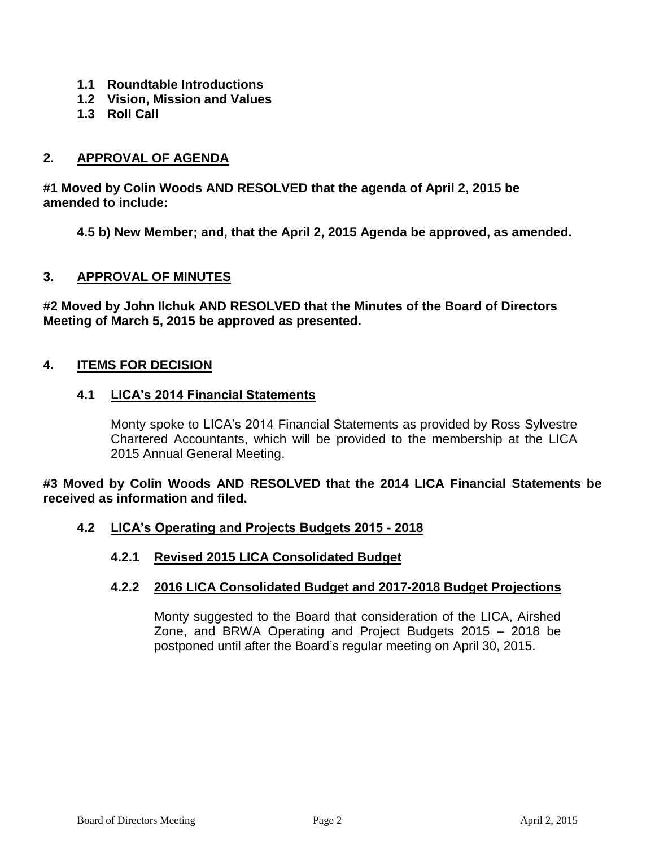- **1.1 Roundtable Introductions**
- **1.2 Vision, Mission and Values**
- **1.3 Roll Call**

# **2. APPROVAL OF AGENDA**

**#1 Moved by Colin Woods AND RESOLVED that the agenda of April 2, 2015 be amended to include:**

**4.5 b) New Member; and, that the April 2, 2015 Agenda be approved, as amended.**

#### **3. APPROVAL OF MINUTES**

**#2 Moved by John Ilchuk AND RESOLVED that the Minutes of the Board of Directors Meeting of March 5, 2015 be approved as presented.**

#### **4. ITEMS FOR DECISION**

#### **4.1 LICA's 2014 Financial Statements**

Monty spoke to LICA's 2014 Financial Statements as provided by Ross Sylvestre Chartered Accountants, which will be provided to the membership at the LICA 2015 Annual General Meeting.

**#3 Moved by Colin Woods AND RESOLVED that the 2014 LICA Financial Statements be received as information and filed.**

#### **4.2 LICA's Operating and Projects Budgets 2015 - 2018**

**4.2.1 Revised 2015 LICA Consolidated Budget**

#### **4.2.2 2016 LICA Consolidated Budget and 2017-2018 Budget Projections**

Monty suggested to the Board that consideration of the LICA, Airshed Zone, and BRWA Operating and Project Budgets 2015 – 2018 be postponed until after the Board's regular meeting on April 30, 2015.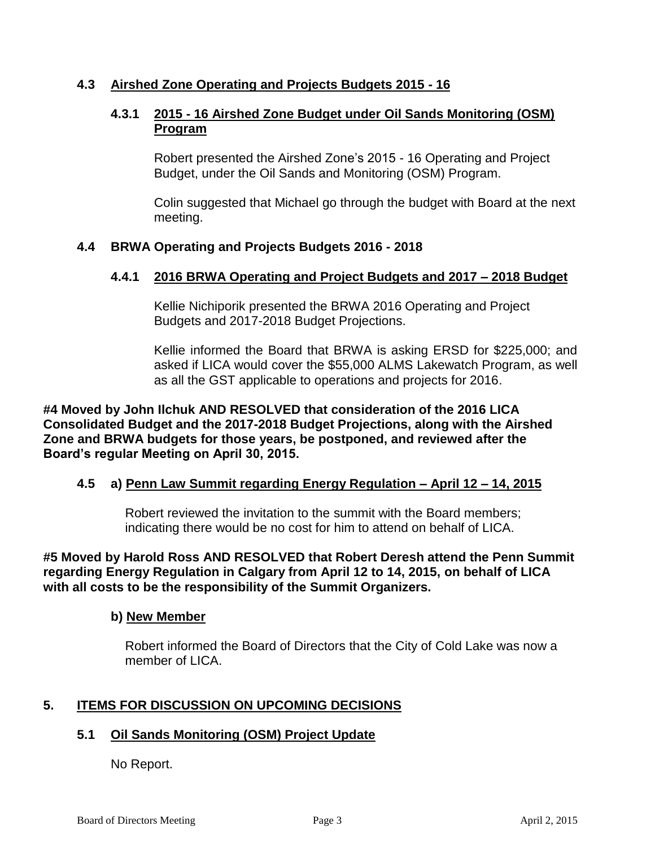# **4.3 Airshed Zone Operating and Projects Budgets 2015 - 16**

# **4.3.1 2015 - 16 Airshed Zone Budget under Oil Sands Monitoring (OSM) Program**

Robert presented the Airshed Zone's 2015 - 16 Operating and Project Budget, under the Oil Sands and Monitoring (OSM) Program.

Colin suggested that Michael go through the budget with Board at the next meeting.

# **4.4 BRWA Operating and Projects Budgets 2016 - 2018**

# **4.4.1 2016 BRWA Operating and Project Budgets and 2017 – 2018 Budget**

Kellie Nichiporik presented the BRWA 2016 Operating and Project Budgets and 2017-2018 Budget Projections.

Kellie informed the Board that BRWA is asking ERSD for \$225,000; and asked if LICA would cover the \$55,000 ALMS Lakewatch Program, as well as all the GST applicable to operations and projects for 2016.

**#4 Moved by John Ilchuk AND RESOLVED that consideration of the 2016 LICA Consolidated Budget and the 2017-2018 Budget Projections, along with the Airshed Zone and BRWA budgets for those years, be postponed, and reviewed after the Board's regular Meeting on April 30, 2015.**

# **4.5 a) Penn Law Summit regarding Energy Regulation – April 12 – 14, 2015**

Robert reviewed the invitation to the summit with the Board members; indicating there would be no cost for him to attend on behalf of LICA.

**#5 Moved by Harold Ross AND RESOLVED that Robert Deresh attend the Penn Summit regarding Energy Regulation in Calgary from April 12 to 14, 2015, on behalf of LICA with all costs to be the responsibility of the Summit Organizers.**

# **b) New Member**

Robert informed the Board of Directors that the City of Cold Lake was now a member of LICA.

# **5. ITEMS FOR DISCUSSION ON UPCOMING DECISIONS**

# **5.1 Oil Sands Monitoring (OSM) Project Update**

No Report.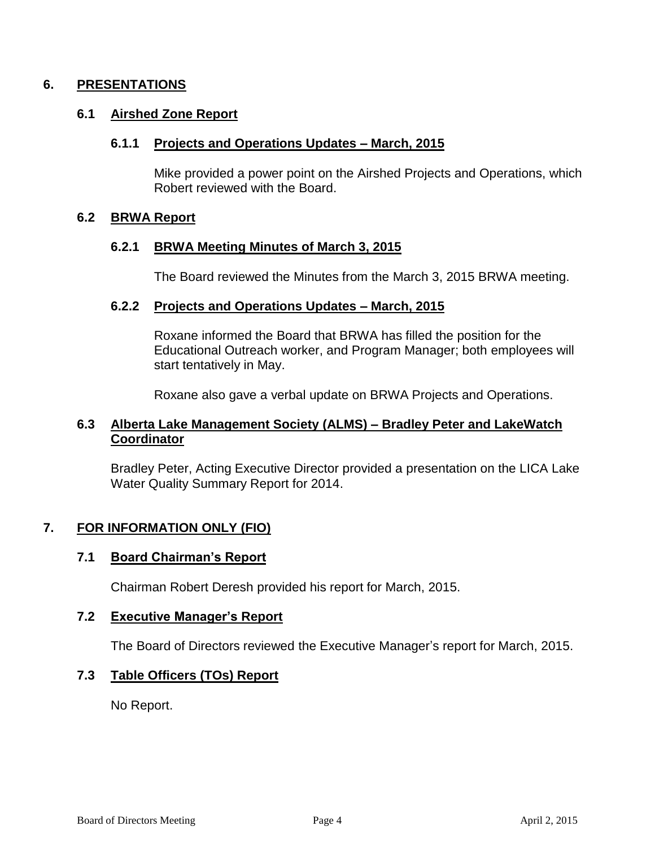### **6. PRESENTATIONS**

#### **6.1 Airshed Zone Report**

#### **6.1.1 Projects and Operations Updates – March, 2015**

Mike provided a power point on the Airshed Projects and Operations, which Robert reviewed with the Board.

#### **6.2 BRWA Report**

#### **6.2.1 BRWA Meeting Minutes of March 3, 2015**

The Board reviewed the Minutes from the March 3, 2015 BRWA meeting.

#### **6.2.2 Projects and Operations Updates – March, 2015**

Roxane informed the Board that BRWA has filled the position for the Educational Outreach worker, and Program Manager; both employees will start tentatively in May.

Roxane also gave a verbal update on BRWA Projects and Operations.

#### **6.3 Alberta Lake Management Society (ALMS) – Bradley Peter and LakeWatch Coordinator**

Bradley Peter, Acting Executive Director provided a presentation on the LICA Lake Water Quality Summary Report for 2014.

#### **7. FOR INFORMATION ONLY (FIO)**

#### **7.1 Board Chairman's Report**

Chairman Robert Deresh provided his report for March, 2015.

#### **7.2 Executive Manager's Report**

The Board of Directors reviewed the Executive Manager's report for March, 2015.

#### **7.3 Table Officers (TOs) Report**

No Report.